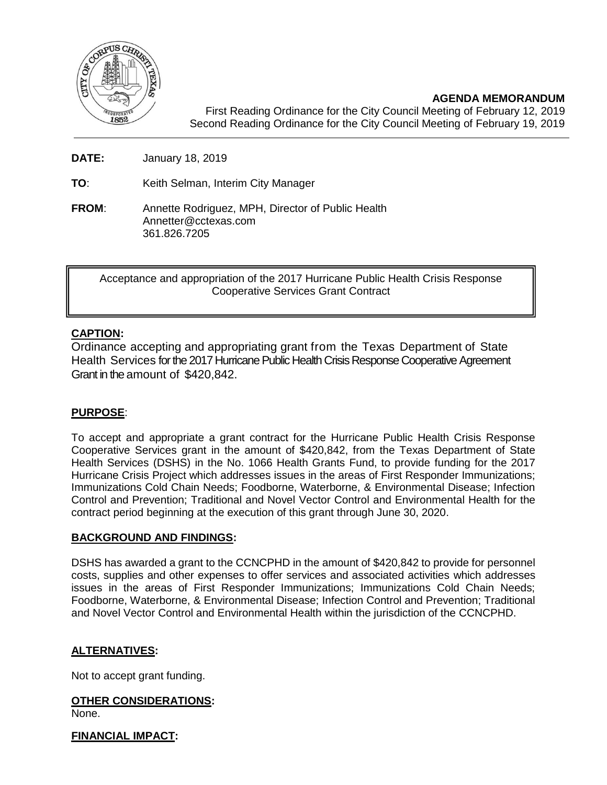

**AGENDA MEMORANDUM** First Reading Ordinance for the City Council Meeting of February 12, 2019 Second Reading Ordinance for the City Council Meeting of February 19, 2019

**DATE:** January 18, 2019

**TO**: Keith Selman, Interim City Manager

**FROM**: Annette Rodriguez, MPH, Director of Public Health Annetter@cctexas.com 361.826.7205

Acceptance and appropriation of the 2017 Hurricane Public Health Crisis Response Cooperative Services Grant Contract

### **CAPTION:**

Ordinance accepting and appropriating grant from the Texas Department of State Health Services for the 2017 Hurricane Public Health Crisis Response Cooperative Agreement Grant in the amount of \$420,842.

### **PURPOSE**:

To accept and appropriate a grant contract for the Hurricane Public Health Crisis Response Cooperative Services grant in the amount of \$420,842, from the Texas Department of State Health Services (DSHS) in the No. 1066 Health Grants Fund, to provide funding for the 2017 Hurricane Crisis Project which addresses issues in the areas of First Responder Immunizations; Immunizations Cold Chain Needs; Foodborne, Waterborne, & Environmental Disease; Infection Control and Prevention; Traditional and Novel Vector Control and Environmental Health for the contract period beginning at the execution of this grant through June 30, 2020.

### **BACKGROUND AND FINDINGS:**

DSHS has awarded a grant to the CCNCPHD in the amount of \$420,842 to provide for personnel costs, supplies and other expenses to offer services and associated activities which addresses issues in the areas of First Responder Immunizations; Immunizations Cold Chain Needs; Foodborne, Waterborne, & Environmental Disease; Infection Control and Prevention; Traditional and Novel Vector Control and Environmental Health within the jurisdiction of the CCNCPHD.

### **ALTERNATIVES:**

Not to accept grant funding.

### **OTHER CONSIDERATIONS:**

None.

#### **FINANCIAL IMPACT:**